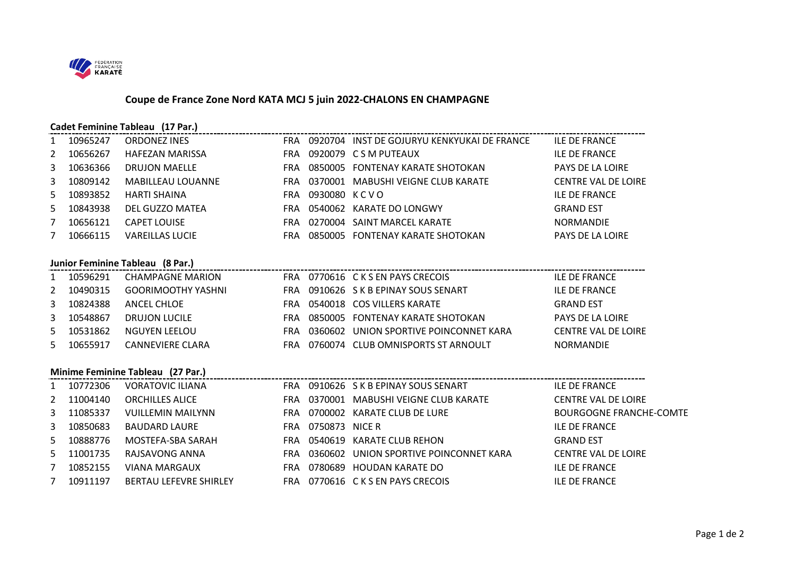

## **Coupe de France Zone Nord KATA MCJ 5 juin 2022-CHALONS EN CHAMPAGNE**

| Cadet Feminine Tableau (17 Par.)<br>Cadet Feminine Tableau (17 Par.)<br>II F DE FR/ |          |                                                |  |                    |                                                 |                                |  |
|-------------------------------------------------------------------------------------|----------|------------------------------------------------|--|--------------------|-------------------------------------------------|--------------------------------|--|
| $\mathbf{1}$                                                                        | 10965247 | <b>ORDONEZ INES</b>                            |  |                    | FRA 0920704 INST DE GOJURYU KENKYUKAI DE FRANCE | <b>ILE DE FRANCE</b>           |  |
| 2                                                                                   | 10656267 | <b>HAFEZAN MARISSA</b>                         |  |                    | FRA 0920079 CSM PUTEAUX                         | <b>ILE DE FRANCE</b>           |  |
| 3                                                                                   | 10636366 | <b>DRUJON MAELLE</b>                           |  |                    | FRA 0850005 FONTENAY KARATE SHOTOKAN            | <b>PAYS DE LA LOIRE</b>        |  |
| 3                                                                                   | 10809142 | MABILLEAU LOUANNE                              |  |                    | FRA 0370001 MABUSHI VEIGNE CLUB KARATE          | <b>CENTRE VAL DE LOIRE</b>     |  |
| 5.                                                                                  | 10893852 | HARTI SHAINA                                   |  | FRA 0930080 KCVO   |                                                 | <b>ILE DE FRANCE</b>           |  |
| 5                                                                                   | 10843938 | DEL GUZZO MATEA DEL CONTROVIDO DEL GUZZO MATEA |  |                    | FRA 0540062 KARATE DO LONGWY                    | <b>GRAND EST</b>               |  |
| $7^{\circ}$                                                                         | 10656121 | <b>CAPET LOUISE</b>                            |  |                    | FRA 0270004 SAINT MARCEL KARATE                 | NORMANDIE                      |  |
| $7^{\circ}$                                                                         | 10666115 | <b>VAREILLAS LUCIE</b>                         |  |                    | FRA 0850005 FONTENAY KARATE SHOTOKAN            | PAYS DE LA LOIRE               |  |
|                                                                                     |          |                                                |  |                    |                                                 |                                |  |
|                                                                                     |          | Junior Feminine Tableau (8 Par.)               |  |                    |                                                 |                                |  |
| $\mathbf{1}$                                                                        | 10596291 | <b>CHAMPAGNE MARION</b>                        |  |                    | FRA 0770616 C K S EN PAYS CRECOIS               | ILE DE FRANCE                  |  |
| 2                                                                                   | 10490315 | <b>GOORIMOOTHY YASHNI</b>                      |  |                    | FRA 0910626 S K B EPINAY SOUS SENART            | <b>ILE DE FRANCE</b>           |  |
| $\mathbf{3}$                                                                        | 10824388 | ANCEL CHLOE                                    |  |                    | FRA 0540018 COS VILLERS KARATE                  | <b>GRAND EST</b>               |  |
| 3                                                                                   | 10548867 | DRUJON LUCILE                                  |  |                    | FRA 0850005 FONTENAY KARATE SHOTOKAN            | <b>PAYS DE LA LOIRE</b>        |  |
| 5                                                                                   | 10531862 | NGUYEN LEELOU NGUYEN LEELOU                    |  |                    | FRA 0360602 UNION SPORTIVE POINCONNET KARA      | <b>CENTRE VAL DE LOIRE</b>     |  |
| 5.                                                                                  | 10655917 | CANNEVIERE CLARA                               |  |                    | FRA 0760074 CLUB OMNISPORTS ST ARNOULT          | <b>NORMANDIE</b>               |  |
|                                                                                     |          |                                                |  |                    |                                                 |                                |  |
| Minime Feminine Tableau (27 Par.)                                                   |          |                                                |  |                    |                                                 |                                |  |
| $\mathbf{1}$                                                                        | 10772306 | <b>VORATOVIC ILIANA</b>                        |  |                    | FRA 0910626 SKBEPINAY SOUS SENART               | ILE DE FRANCE                  |  |
| $2^{\circ}$                                                                         | 11004140 | <b>ORCHILLES ALICE</b>                         |  |                    | FRA 0370001 MABUSHI VEIGNE CLUB KARATE          | CENTRE VAL DE LOIRE            |  |
| 3                                                                                   | 11085337 | <b>VUILLEMIN MAILYNN</b>                       |  |                    | FRA 0700002 KARATE CLUB DE LURE                 | <b>BOURGOGNE FRANCHE-COMTE</b> |  |
| 3                                                                                   | 10850683 | <b>BAUDARD LAURE</b>                           |  | FRA 0750873 NICE R |                                                 | <b>ILE DE FRANCE</b>           |  |
| 5                                                                                   | 10888776 | MOSTEFA-SBA SARAH                              |  |                    | FRA 0540619 KARATE CLUB REHON                   | <b>GRAND EST</b>               |  |
| 5.                                                                                  | 11001735 | RAJSAVONG ANNA                                 |  |                    | FRA 0360602 UNION SPORTIVE POINCONNET KARA      | <b>CENTRE VAL DE LOIRE</b>     |  |
| $7^{\circ}$                                                                         | 10852155 | <b>VIANA MARGAUX</b>                           |  |                    | FRA 0780689 HOUDAN KARATE DO                    | <b>ILE DE FRANCE</b>           |  |
| $7^{\circ}$                                                                         | 10911197 | <b>BERTAU LEFEVRE SHIRLEY</b>                  |  |                    | FRA 0770616 CKSEN PAYS CRECOIS                  | <b>ILE DE FRANCE</b>           |  |